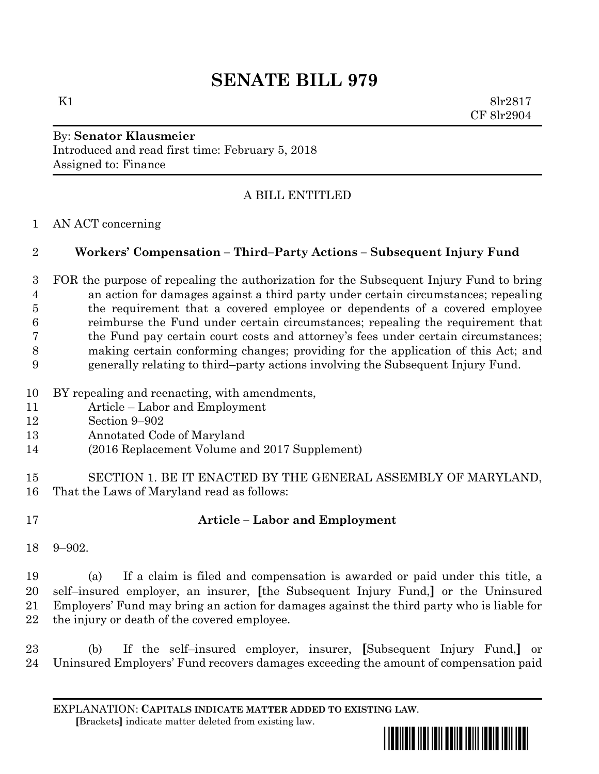# **SENATE BILL 979**

K1 8lr2817 CF 8lr2904

### By: **Senator Klausmeier** Introduced and read first time: February 5, 2018 Assigned to: Finance

# A BILL ENTITLED

### AN ACT concerning

### **Workers' Compensation – Third–Party Actions – Subsequent Injury Fund**

 FOR the purpose of repealing the authorization for the Subsequent Injury Fund to bring an action for damages against a third party under certain circumstances; repealing the requirement that a covered employee or dependents of a covered employee reimburse the Fund under certain circumstances; repealing the requirement that the Fund pay certain court costs and attorney's fees under certain circumstances; making certain conforming changes; providing for the application of this Act; and generally relating to third–party actions involving the Subsequent Injury Fund.

- BY repealing and reenacting, with amendments,
- Article Labor and Employment
- Section 9–902
- Annotated Code of Maryland
- (2016 Replacement Volume and 2017 Supplement)
- SECTION 1. BE IT ENACTED BY THE GENERAL ASSEMBLY OF MARYLAND, That the Laws of Maryland read as follows:
- 

## **Article – Labor and Employment**

9–902.

 (a) If a claim is filed and compensation is awarded or paid under this title, a self–insured employer, an insurer, **[**the Subsequent Injury Fund,**]** or the Uninsured Employers' Fund may bring an action for damages against the third party who is liable for the injury or death of the covered employee.

 (b) If the self–insured employer, insurer, **[**Subsequent Injury Fund,**]** or Uninsured Employers' Fund recovers damages exceeding the amount of compensation paid

EXPLANATION: **CAPITALS INDICATE MATTER ADDED TO EXISTING LAW**.  **[**Brackets**]** indicate matter deleted from existing law.

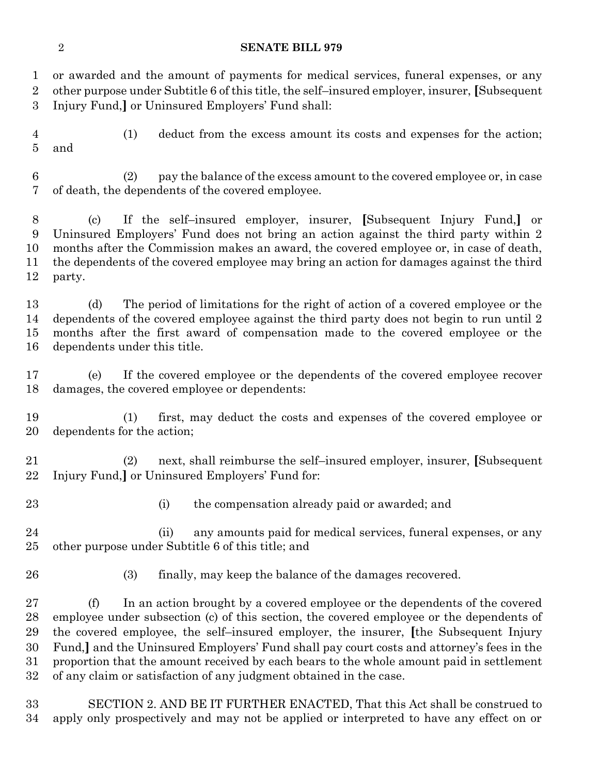#### **SENATE BILL 979**

 or awarded and the amount of payments for medical services, funeral expenses, or any other purpose under Subtitle 6 of this title, the self–insured employer, insurer, **[**Subsequent Injury Fund,**]** or Uninsured Employers' Fund shall:

 (1) deduct from the excess amount its costs and expenses for the action; and

 (2) pay the balance of the excess amount to the covered employee or, in case of death, the dependents of the covered employee.

 (c) If the self–insured employer, insurer, **[**Subsequent Injury Fund,**]** or Uninsured Employers' Fund does not bring an action against the third party within 2 months after the Commission makes an award, the covered employee or, in case of death, the dependents of the covered employee may bring an action for damages against the third party.

 (d) The period of limitations for the right of action of a covered employee or the dependents of the covered employee against the third party does not begin to run until 2 months after the first award of compensation made to the covered employee or the dependents under this title.

 (e) If the covered employee or the dependents of the covered employee recover damages, the covered employee or dependents:

 (1) first, may deduct the costs and expenses of the covered employee or dependents for the action;

 (2) next, shall reimburse the self–insured employer, insurer, **[**Subsequent Injury Fund,**]** or Uninsured Employers' Fund for:

- 
- 23 (i) the compensation already paid or awarded; and

 (ii) any amounts paid for medical services, funeral expenses, or any other purpose under Subtitle 6 of this title; and

(3) finally, may keep the balance of the damages recovered.

 (f) In an action brought by a covered employee or the dependents of the covered employee under subsection (c) of this section, the covered employee or the dependents of the covered employee, the self–insured employer, the insurer, **[**the Subsequent Injury Fund,**]** and the Uninsured Employers' Fund shall pay court costs and attorney's fees in the proportion that the amount received by each bears to the whole amount paid in settlement of any claim or satisfaction of any judgment obtained in the case.

 SECTION 2. AND BE IT FURTHER ENACTED, That this Act shall be construed to apply only prospectively and may not be applied or interpreted to have any effect on or